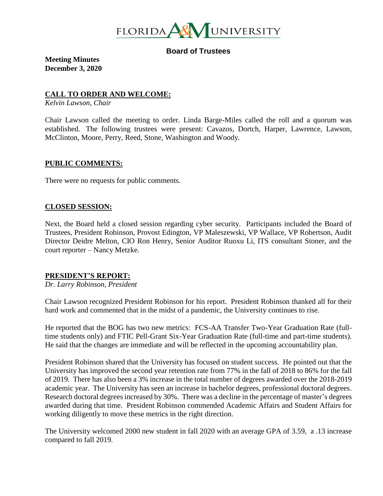

**Board of Trustees**

**Meeting Minutes December 3, 2020**

#### **CALL TO ORDER AND WELCOME:**

*Kelvin Lawson, Chair*

Chair Lawson called the meeting to order. Linda Barge-Miles called the roll and a quorum was established. The following trustees were present: Cavazos, Dortch, Harper, Lawrence, Lawson, McClinton, Moore, Perry, Reed, Stone, Washington and Woody.

#### **PUBLIC COMMENTS:**

There were no requests for public comments.

#### **CLOSED SESSION:**

Next, the Board held a closed session regarding cyber security. Participants included the Board of Trustees, President Robinson, Provost Edington, VP Maleszewski, VP Wallace, VP Robertson, Audit Director Deidre Melton, CIO Ron Henry, Senior Auditor Ruoxu Li, ITS consultant Stoner, and the court reporter – Nancy Metzke.

### **PRESIDENT'S REPORT:**

*Dr. Larry Robinson, President*

Chair Lawson recognized President Robinson for his report. President Robinson thanked all for their hard work and commented that in the midst of a pandemic, the University continues to rise.

He reported that the BOG has two new metrics: FCS-AA Transfer Two-Year Graduation Rate (fulltime students only) and FTIC Pell-Grant Six-Year Graduation Rate (full-time and part-time students). He said that the changes are immediate and will be reflected in the upcoming accountability plan.

President Robinson shared that the University has focused on student success. He pointed out that the University has improved the second year retention rate from 77% in the fall of 2018 to 86% for the fall of 2019. There has also been a 3% increase in the total number of degrees awarded over the 2018-2019 academic year. The University has seen an increase in bachelor degrees, professional doctoral degrees. Research doctoral degrees increased by 30%. There was a decline in the percentage of master's degrees awarded during that time. President Robinson commended Academic Affairs and Student Affairs for working diligently to move these metrics in the right direction.

The University welcomed 2000 new student in fall 2020 with an average GPA of 3.59, a .13 increase compared to fall 2019.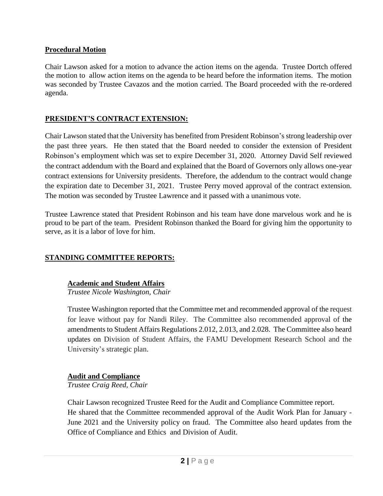## **Procedural Motion**

Chair Lawson asked for a motion to advance the action items on the agenda. Trustee Dortch offered the motion to allow action items on the agenda to be heard before the information items. The motion was seconded by Trustee Cavazos and the motion carried. The Board proceeded with the re-ordered agenda.

# **PRESIDENT'S CONTRACT EXTENSION:**

Chair Lawson stated that the University has benefited from President Robinson's strong leadership over the past three years. He then stated that the Board needed to consider the extension of President Robinson's employment which was set to expire December 31, 2020. Attorney David Self reviewed the contract addendum with the Board and explained that the Board of Governors only allows one-year contract extensions for University presidents. Therefore, the addendum to the contract would change the expiration date to December 31, 2021. Trustee Perry moved approval of the contract extension. The motion was seconded by Trustee Lawrence and it passed with a unanimous vote.

Trustee Lawrence stated that President Robinson and his team have done marvelous work and he is proud to be part of the team. President Robinson thanked the Board for giving him the opportunity to serve, as it is a labor of love for him.

## **STANDING COMMITTEE REPORTS:**

### **Academic and Student Affairs**

*Trustee Nicole Washington, Chair*

Trustee Washington reported that the Committee met and recommended approval of the request for leave without pay for Nandi Riley. The Committee also recommended approval of the amendments to Student Affairs Regulations 2.012, 2.013, and 2.028. The Committee also heard updates on Division of Student Affairs, the FAMU Development Research School and the University's strategic plan.

### **Audit and Compliance**

*Trustee Craig Reed, Chair*

Chair Lawson recognized Trustee Reed for the Audit and Compliance Committee report. He shared that the Committee recommended approval of the Audit Work Plan for January - June 2021 and the University policy on fraud. The Committee also heard updates from the Office of Compliance and Ethics and Division of Audit.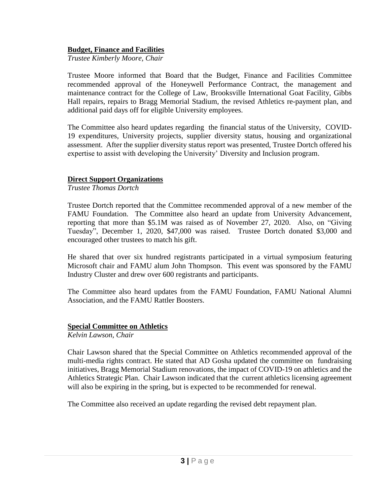### **Budget, Finance and Facilities**

*Trustee Kimberly Moore, Chair*

Trustee Moore informed that Board that the Budget, Finance and Facilities Committee recommended approval of the Honeywell Performance Contract, the management and maintenance contract for the College of Law, Brooksville International Goat Facility, Gibbs Hall repairs, repairs to Bragg Memorial Stadium, the revised Athletics re-payment plan, and additional paid days off for eligible University employees.

The Committee also heard updates regarding the financial status of the University, COVID-19 expenditures, University projects, supplier diversity status, housing and organizational assessment. After the supplier diversity status report was presented, Trustee Dortch offered his expertise to assist with developing the University' Diversity and Inclusion program.

### **Direct Support Organizations**

*Trustee Thomas Dortch*

Trustee Dortch reported that the Committee recommended approval of a new member of the FAMU Foundation. The Committee also heard an update from University Advancement, reporting that more than \$5.1M was raised as of November 27, 2020. Also, on "Giving Tuesday", December 1, 2020, \$47,000 was raised. Trustee Dortch donated \$3,000 and encouraged other trustees to match his gift.

He shared that over six hundred registrants participated in a virtual symposium featuring Microsoft chair and FAMU alum John Thompson. This event was sponsored by the FAMU Industry Cluster and drew over 600 registrants and participants.

The Committee also heard updates from the FAMU Foundation, FAMU National Alumni Association, and the FAMU Rattler Boosters.

### **Special Committee on Athletics**

*Kelvin Lawson, Chair*

Chair Lawson shared that the Special Committee on Athletics recommended approval of the multi-media rights contract. He stated that AD Gosha updated the committee on fundraising initiatives, Bragg Memorial Stadium renovations, the impact of COVID-19 on athletics and the Athletics Strategic Plan. Chair Lawson indicated that the current athletics licensing agreement will also be expiring in the spring, but is expected to be recommended for renewal.

The Committee also received an update regarding the revised debt repayment plan.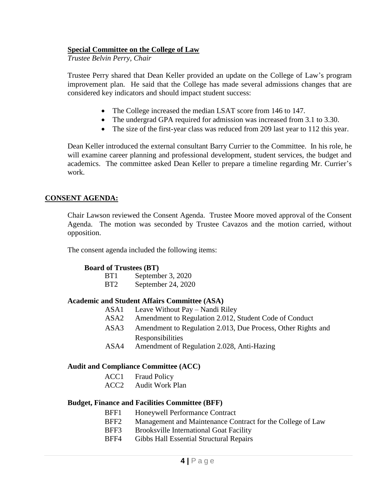### **Special Committee on the College of Law**

*Trustee Belvin Perry, Chair*

Trustee Perry shared that Dean Keller provided an update on the College of Law's program improvement plan. He said that the College has made several admissions changes that are considered key indicators and should impact student success:

- The College increased the median LSAT score from 146 to 147.
- The undergrad GPA required for admission was increased from 3.1 to 3.30.
- The size of the first-year class was reduced from 209 last year to 112 this year.

Dean Keller introduced the external consultant Barry Currier to the Committee. In his role, he will examine career planning and professional development, student services, the budget and academics. The committee asked Dean Keller to prepare a timeline regarding Mr. Currier's work.

### **CONSENT AGENDA:**

Chair Lawson reviewed the Consent Agenda. Trustee Moore moved approval of the Consent Agenda. The motion was seconded by Trustee Cavazos and the motion carried, without opposition.

The consent agenda included the following items:

### **Board of Trustees (BT)**

| BT <sub>1</sub> | September 3, 2020  |
|-----------------|--------------------|
| BT <sub>2</sub> | September 24, 2020 |

### **Academic and Student Affairs Committee (ASA)**

 ASA1 Leave Without Pay – Nandi Riley ASA2 Amendment to Regulation 2.012, Student Code of Conduct ASA3 Amendment to Regulation 2.013, Due Process, Other Rights and Responsibilities ASA4 Amendment of Regulation 2.028, Anti-Hazing

#### **Audit and Compliance Committee (ACC)**

ACC1 Fraud Policy

ACC2 Audit Work Plan

### **Budget, Finance and Facilities Committee (BFF)**

- BFF1 Honeywell Performance Contract
- BFF2 Management and Maintenance Contract for the College of Law
- BFF3 Brooksville International Goat Facility
- BFF4 Gibbs Hall Essential Structural Repairs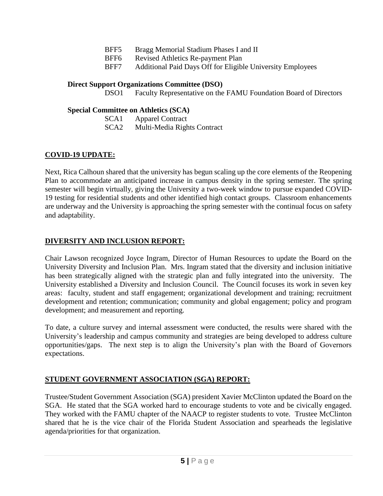- BFF5 Bragg Memorial Stadium Phases I and II
- BFF6 Revised Athletics Re-payment Plan
- BFF7 Additional Paid Days Off for Eligible University Employees

### **Direct Support Organizations Committee (DSO)**

DSO1 Faculty Representative on the FAMU Foundation Board of Directors

### **Special Committee on Athletics (SCA)**

SCA1 Apparel Contract SCA2 Multi-Media Rights Contract

# **COVID-19 UPDATE:**

Next, Rica Calhoun shared that the university has begun scaling up the core elements of the Reopening Plan to accommodate an anticipated increase in campus density in the spring semester. The spring semester will begin virtually, giving the University a two-week window to pursue expanded COVID-19 testing for residential students and other identified high contact groups. Classroom enhancements are underway and the University is approaching the spring semester with the continual focus on safety and adaptability.

# **DIVERSITY AND INCLUSION REPORT:**

Chair Lawson recognized Joyce Ingram, Director of Human Resources to update the Board on the University Diversity and Inclusion Plan. Mrs. Ingram stated that the diversity and inclusion initiative has been strategically aligned with the strategic plan and fully integrated into the university. The University established a Diversity and Inclusion Council. The Council focuses its work in seven key areas: faculty, student and staff engagement; organizational development and training; recruitment development and retention; communication; community and global engagement; policy and program development; and measurement and reporting.

To date, a culture survey and internal assessment were conducted, the results were shared with the University's leadership and campus community and strategies are being developed to address culture opportunities/gaps. The next step is to align the University's plan with the Board of Governors expectations.

## **STUDENT GOVERNMENT ASSOCIATION (SGA) REPORT:**

Trustee/Student Government Association (SGA) president Xavier McClinton updated the Board on the SGA. He stated that the SGA worked hard to encourage students to vote and be civically engaged. They worked with the FAMU chapter of the NAACP to register students to vote. Trustee McClinton shared that he is the vice chair of the Florida Student Association and spearheads the legislative agenda/priorities for that organization.